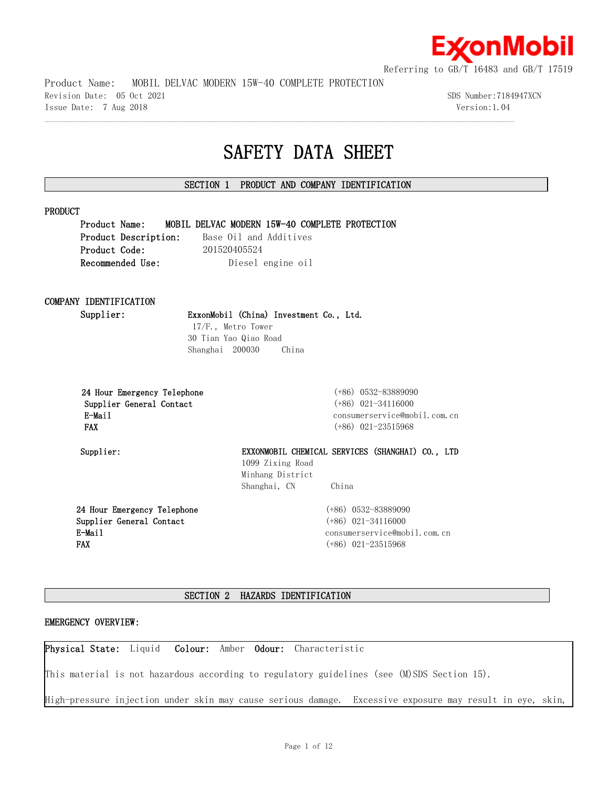

Product Name: MOBIL DELVAC MODERN 15W-40 COMPLETE PROTECTION

Revision Date: 05 Oct 2021 SDS Number:7184947XCN Issue Date: 7 Aug 2018 Version:1.04

# **SAFETY DATA SHEET**

# **SECTION 1 PRODUCT AND COMPANY IDENTIFICATION**

 $\mathcal{L} = \{ \mathcal{L} = \{ \mathcal{L} = \{ \mathcal{L} = \{ \mathcal{L} = \{ \mathcal{L} = \{ \mathcal{L} = \{ \mathcal{L} = \{ \mathcal{L} = \{ \mathcal{L} = \{ \mathcal{L} = \{ \mathcal{L} = \{ \mathcal{L} = \{ \mathcal{L} = \{ \mathcal{L} = \{ \mathcal{L} = \{ \mathcal{L} = \{ \mathcal{L} = \{ \mathcal{L} = \{ \mathcal{L} = \{ \mathcal{L} = \{ \mathcal{L} = \{ \mathcal{L} = \{ \mathcal{L} = \{ \mathcal{$ 

# **PRODUCT**

**Product Name: MOBIL DELVAC MODERN 15W-40 COMPLETE PROTECTION** Product Description: Base Oil and Additives **Product Code:** 201520405524 **Recommended Use:** Diesel engine oil

# **COMPANY IDENTIFICATION**

**Supplier: ExxonMobil (China) Investment Co., Ltd.**

17/F., Metro Tower 30 Tian Yao Qiao Road Shanghai 200030 China

| 24 Hour Emergency Telephone |
|-----------------------------|
| Supplier General Contact    |
| E-Mail                      |
| <b>FAX</b>                  |

 **24 Hour Emergency Telephone** (+86) 0532-83889090  **Supplier General Contact** (+86) 021-34116000 consumerservice@mobil.com.cn  **FAX** (+86) 021-23515968

**Supplier: EXXONMOBIL CHEMICAL SERVICES (SHANGHAI) CO., LTD**  1099 Zixing Road Minhang District Shanghai, CN China

**24 Hour Emergency Telephone Supplier General Contact E-Mail FAX**

(+86) 0532-83889090 (+86) 021-34116000 consumerservice@mobil.com.cn (+86) 021-23515968

# **SECTION 2 HAZARDS IDENTIFICATION**

# **EMERGENCY OVERVIEW:**

**Physical State:** Liquid **Colour:** Amber **Odour:** Characteristic

This material is not hazardous according to regulatory guidelines (see (M)SDS Section 15).

High-pressure injection under skin may cause serious damage. Excessive exposure may result in eye, skin,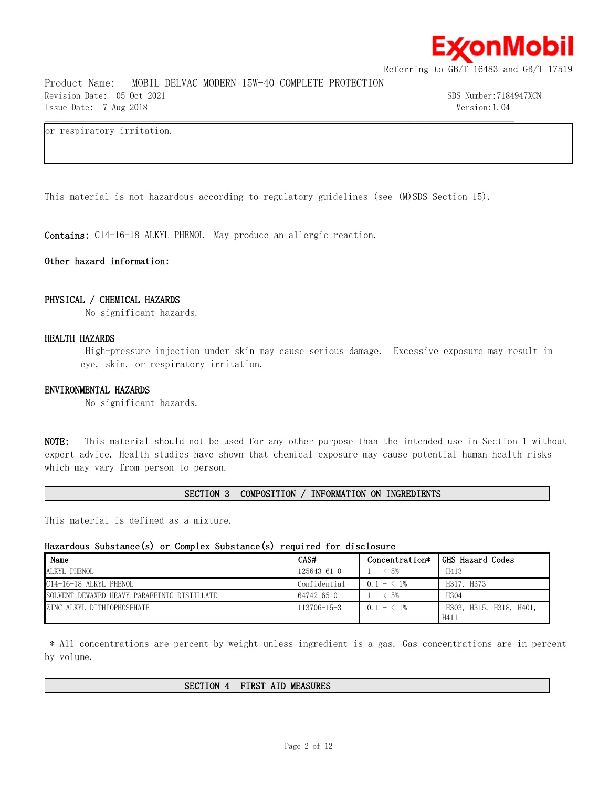

Product Name: MOBIL DELVAC MODERN 15W-40 COMPLETE PROTECTION Revision Date: 05 Oct 2021 SDS Number:7184947XCN Issue Date: 7 Aug 2018 Version:1.04

# or respiratory irritation.

This material is not hazardous according to regulatory guidelines (see (M)SDS Section 15).

 $\mathcal{L} = \{ \mathcal{L} = \{ \mathcal{L} = \{ \mathcal{L} = \{ \mathcal{L} = \{ \mathcal{L} = \{ \mathcal{L} = \{ \mathcal{L} = \{ \mathcal{L} = \{ \mathcal{L} = \{ \mathcal{L} = \{ \mathcal{L} = \{ \mathcal{L} = \{ \mathcal{L} = \{ \mathcal{L} = \{ \mathcal{L} = \{ \mathcal{L} = \{ \mathcal{L} = \{ \mathcal{L} = \{ \mathcal{L} = \{ \mathcal{L} = \{ \mathcal{L} = \{ \mathcal{L} = \{ \mathcal{L} = \{ \mathcal{$ 

**Contains:** C14-16-18 ALKYL PHENOL May produce an allergic reaction.

# **Other hazard information:**

### **PHYSICAL / CHEMICAL HAZARDS**

No significant hazards.

# **HEALTH HAZARDS**

High-pressure injection under skin may cause serious damage. Excessive exposure may result in eye, skin, or respiratory irritation.

# **ENVIRONMENTAL HAZARDS**

No significant hazards.

**NOTE:** This material should not be used for any other purpose than the intended use in Section 1 without expert advice. Health studies have shown that chemical exposure may cause potential human health risks which may vary from person to person.

# **SECTION 3 COMPOSITION / INFORMATION ON INGREDIENTS**

This material is defined as a mixture.

# **Hazardous Substance(s) or Complex Substance(s) required for disclosure**

| Name                                        | CAS#              | Concentration* | GHS Hazard Codes        |
|---------------------------------------------|-------------------|----------------|-------------------------|
| ALKYL PHENOL                                | $125643 - 61 - 0$ | $ <$ 5%        | H413                    |
| C14-16-18 ALKYL PHENOL                      | Confidential      | $0.1 - 1\%$    | H317, H373              |
| SOLVENT DEWAXED HEAVY PARAFFINIC DISTILLATE | 64742-65-0        | $- < 5\%$      | H304                    |
| ZINC ALKYL DITHIOPHOSPHATE                  | $113706 - 15 - 3$ | $0.1 - 1\%$    | H303, H315, H318, H401, |
|                                             |                   |                | H411                    |

\* All concentrations are percent by weight unless ingredient is a gas. Gas concentrations are in percent by volume.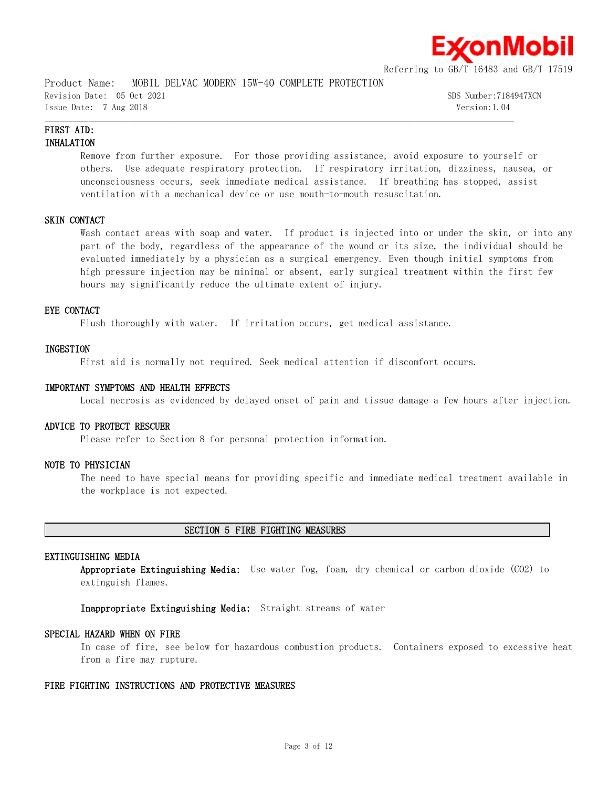

Product Name: MOBIL DELVAC MODERN 15W-40 COMPLETE PROTECTION Revision Date: 05 Oct 2021 SDS Number:7184947XCN Issue Date: 7 Aug 2018 Version:1.04

# **FIRST AID: INHALATION**

Remove from further exposure. For those providing assistance, avoid exposure to yourself or others. Use adequate respiratory protection. If respiratory irritation, dizziness, nausea, or unconsciousness occurs, seek immediate medical assistance. If breathing has stopped, assist ventilation with a mechanical device or use mouth-to-mouth resuscitation.

 $\mathcal{L} = \{ \mathcal{L} = \{ \mathcal{L} = \{ \mathcal{L} = \{ \mathcal{L} = \{ \mathcal{L} = \{ \mathcal{L} = \{ \mathcal{L} = \{ \mathcal{L} = \{ \mathcal{L} = \{ \mathcal{L} = \{ \mathcal{L} = \{ \mathcal{L} = \{ \mathcal{L} = \{ \mathcal{L} = \{ \mathcal{L} = \{ \mathcal{L} = \{ \mathcal{L} = \{ \mathcal{L} = \{ \mathcal{L} = \{ \mathcal{L} = \{ \mathcal{L} = \{ \mathcal{L} = \{ \mathcal{L} = \{ \mathcal{$ 

# **SKIN CONTACT**

Wash contact areas with soap and water. If product is injected into or under the skin, or into any part of the body, regardless of the appearance of the wound or its size, the individual should be evaluated immediately by a physician as a surgical emergency. Even though initial symptoms from high pressure injection may be minimal or absent, early surgical treatment within the first few hours may significantly reduce the ultimate extent of injury.

# **EYE CONTACT**

Flush thoroughly with water. If irritation occurs, get medical assistance.

### **INGESTION**

First aid is normally not required. Seek medical attention if discomfort occurs.

### **IMPORTANT SYMPTOMS AND HEALTH EFFECTS**

Local necrosis as evidenced by delayed onset of pain and tissue damage a few hours after injection.

# **ADVICE TO PROTECT RESCUER**

Please refer to Section 8 for personal protection information.

# **NOTE TO PHYSICIAN**

The need to have special means for providing specific and immediate medical treatment available in the workplace is not expected.

#### **SECTION 5 FIRE FIGHTING MEASURES**

# **EXTINGUISHING MEDIA**

**Appropriate Extinguishing Media:** Use water fog, foam, dry chemical or carbon dioxide (CO2) to extinguish flames.

**Inappropriate Extinguishing Media:** Straight streams of water

# **SPECIAL HAZARD WHEN ON FIRE**

In case of fire, see below for hazardous combustion products. Containers exposed to excessive heat from a fire may rupture.

# **FIRE FIGHTING INSTRUCTIONS AND PROTECTIVE MEASURES**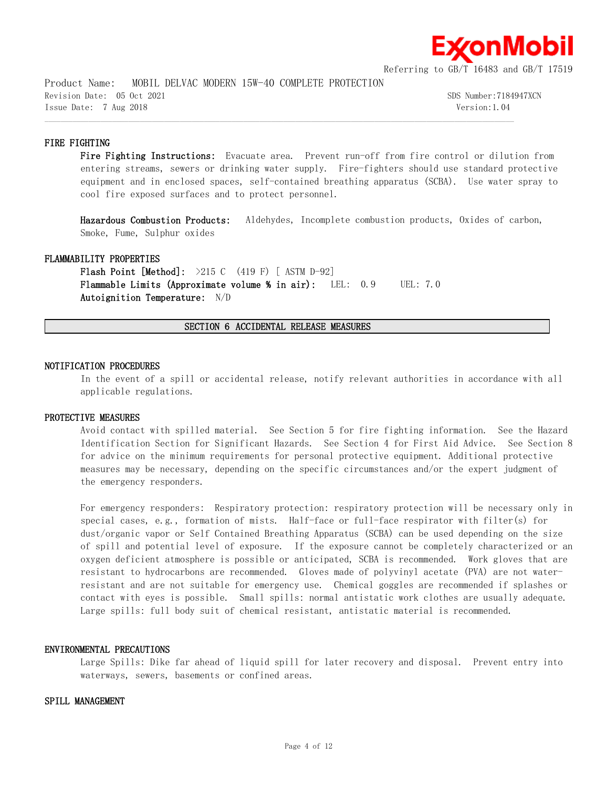

Product Name: MOBIL DELVAC MODERN 15W-40 COMPLETE PROTECTION Revision Date: 05 Oct 2021 SDS Number:7184947XCN Issue Date: 7 Aug 2018 Version:1.04

# **FIRE FIGHTING**

Fire Fighting Instructions: Evacuate area. Prevent run-off from fire control or dilution from entering streams, sewers or drinking water supply. Fire-fighters should use standard protective equipment and in enclosed spaces, self-contained breathing apparatus (SCBA). Use water spray to cool fire exposed surfaces and to protect personnel.

**Hazardous Combustion Products:** Aldehydes, Incomplete combustion products, Oxides of carbon, Smoke, Fume, Sulphur oxides

# **FLAMMABILITY PROPERTIES**

**Flash Point [Method]:** >215 C (419 F) [ ASTM D-92] **Flammable Limits (Approximate volume % in air):** LEL: 0.9 UEL: 7.0 **Autoignition Temperature:** N/D

**SECTION 6 ACCIDENTAL RELEASE MEASURES**

 $\mathcal{L} = \{ \mathcal{L} = \{ \mathcal{L} = \{ \mathcal{L} = \{ \mathcal{L} = \{ \mathcal{L} = \{ \mathcal{L} = \{ \mathcal{L} = \{ \mathcal{L} = \{ \mathcal{L} = \{ \mathcal{L} = \{ \mathcal{L} = \{ \mathcal{L} = \{ \mathcal{L} = \{ \mathcal{L} = \{ \mathcal{L} = \{ \mathcal{L} = \{ \mathcal{L} = \{ \mathcal{L} = \{ \mathcal{L} = \{ \mathcal{L} = \{ \mathcal{L} = \{ \mathcal{L} = \{ \mathcal{L} = \{ \mathcal{$ 

# **NOTIFICATION PROCEDURES**

In the event of a spill or accidental release, notify relevant authorities in accordance with all applicable regulations.

# **PROTECTIVE MEASURES**

Avoid contact with spilled material. See Section 5 for fire fighting information. See the Hazard Identification Section for Significant Hazards. See Section 4 for First Aid Advice. See Section 8 for advice on the minimum requirements for personal protective equipment. Additional protective measures may be necessary, depending on the specific circumstances and/or the expert judgment of the emergency responders.

For emergency responders: Respiratory protection: respiratory protection will be necessary only in special cases, e.g., formation of mists. Half-face or full-face respirator with filter(s) for dust/organic vapor or Self Contained Breathing Apparatus (SCBA) can be used depending on the size of spill and potential level of exposure. If the exposure cannot be completely characterized or an oxygen deficient atmosphere is possible or anticipated, SCBA is recommended. Work gloves that are resistant to hydrocarbons are recommended. Gloves made of polyvinyl acetate (PVA) are not waterresistant and are not suitable for emergency use. Chemical goggles are recommended if splashes or contact with eyes is possible. Small spills: normal antistatic work clothes are usually adequate. Large spills: full body suit of chemical resistant, antistatic material is recommended.

# **ENVIRONMENTAL PRECAUTIONS**

Large Spills: Dike far ahead of liquid spill for later recovery and disposal. Prevent entry into waterways, sewers, basements or confined areas.

# **SPILL MANAGEMENT**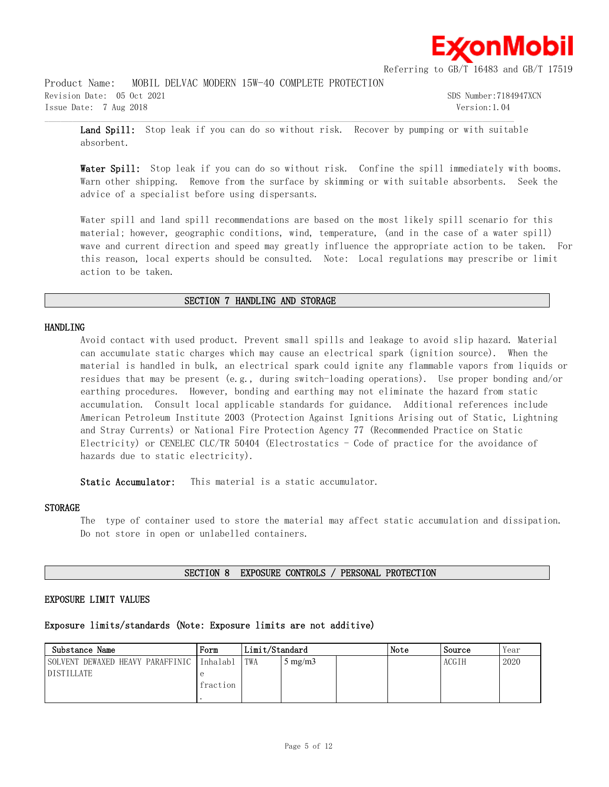

Product Name: MOBIL DELVAC MODERN 15W-40 COMPLETE PROTECTION Revision Date: 05 Oct 2021 SDS Number:7184947XCN

Issue Date: 7 Aug 2018 Version:1.04

Land Spill: Stop leak if you can do so without risk. Recover by pumping or with suitable absorbent.

 $\mathcal{L} = \{ \mathcal{L} = \{ \mathcal{L} = \{ \mathcal{L} = \{ \mathcal{L} = \{ \mathcal{L} = \{ \mathcal{L} = \{ \mathcal{L} = \{ \mathcal{L} = \{ \mathcal{L} = \{ \mathcal{L} = \{ \mathcal{L} = \{ \mathcal{L} = \{ \mathcal{L} = \{ \mathcal{L} = \{ \mathcal{L} = \{ \mathcal{L} = \{ \mathcal{L} = \{ \mathcal{L} = \{ \mathcal{L} = \{ \mathcal{L} = \{ \mathcal{L} = \{ \mathcal{L} = \{ \mathcal{L} = \{ \mathcal{$ 

Water Spill: Stop leak if you can do so without risk. Confine the spill immediately with booms. Warn other shipping. Remove from the surface by skimming or with suitable absorbents. Seek the advice of a specialist before using dispersants.

Water spill and land spill recommendations are based on the most likely spill scenario for this material; however, geographic conditions, wind, temperature, (and in the case of a water spill) wave and current direction and speed may greatly influence the appropriate action to be taken. For this reason, local experts should be consulted. Note: Local regulations may prescribe or limit action to be taken.

# **SECTION 7 HANDLING AND STORAGE**

## **HANDLING**

Avoid contact with used product. Prevent small spills and leakage to avoid slip hazard. Material can accumulate static charges which may cause an electrical spark (ignition source). When the material is handled in bulk, an electrical spark could ignite any flammable vapors from liquids or residues that may be present (e.g., during switch-loading operations). Use proper bonding and/or earthing procedures. However, bonding and earthing may not eliminate the hazard from static accumulation. Consult local applicable standards for guidance. Additional references include American Petroleum Institute 2003 (Protection Against Ignitions Arising out of Static, Lightning and Stray Currents) or National Fire Protection Agency 77 (Recommended Practice on Static Electricity) or CENELEC CLC/TR 50404 (Electrostatics - Code of practice for the avoidance of hazards due to static electricity).

**Static Accumulator:** This material is a static accumulator.

# **STORAGE**

The type of container used to store the material may affect static accumulation and dissipation. Do not store in open or unlabelled containers.

## **SECTION 8 EXPOSURE CONTROLS / PERSONAL PROTECTION**

# **EXPOSURE LIMIT VALUES**

# **Exposure limits/standards (Note: Exposure limits are not additive)**

| Substance Name                   | Form     | Limit/Standard |                     | Note | Source | Year  |      |
|----------------------------------|----------|----------------|---------------------|------|--------|-------|------|
| SOLVENT DEWAXED HEAVY PARAFFINIC | Inhalabl | TWA            | $\frac{1}{2}$ mg/m3 |      |        | ACGIH | 2020 |
| <b>DISTILLATE</b>                |          |                |                     |      |        |       |      |
|                                  | fraction |                |                     |      |        |       |      |
|                                  |          |                |                     |      |        |       |      |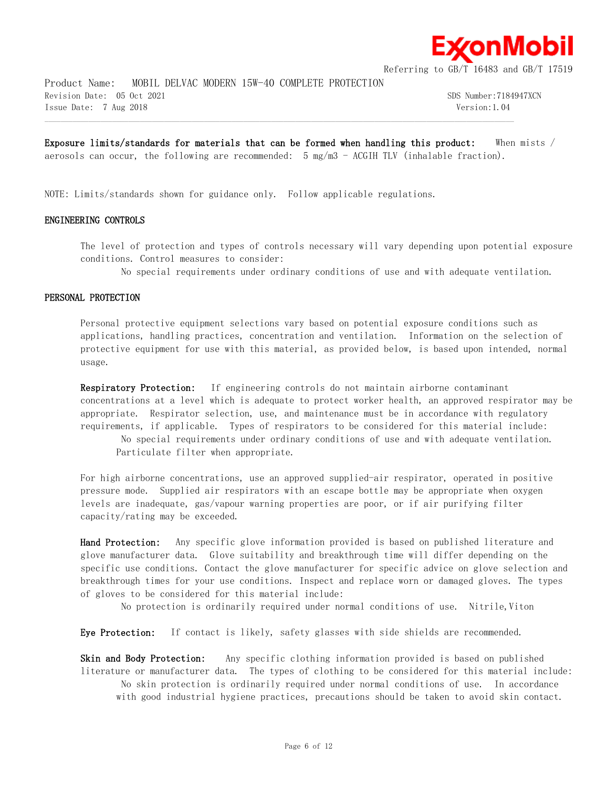

Product Name: MOBIL DELVAC MODERN 15W-40 COMPLETE PROTECTION Revision Date: 05 Oct 2021 SDS Number:7184947XCN Issue Date: 7 Aug 2018 Version:1.04

**Exposure limits/standards for materials that can be formed when handling this product:** When mists / aerosols can occur, the following are recommended:  $5 \text{ mg/m}$  - ACGIH TLV (inhalable fraction).

 $\mathcal{L} = \{ \mathcal{L} = \{ \mathcal{L} = \{ \mathcal{L} = \{ \mathcal{L} = \{ \mathcal{L} = \{ \mathcal{L} = \{ \mathcal{L} = \{ \mathcal{L} = \{ \mathcal{L} = \{ \mathcal{L} = \{ \mathcal{L} = \{ \mathcal{L} = \{ \mathcal{L} = \{ \mathcal{L} = \{ \mathcal{L} = \{ \mathcal{L} = \{ \mathcal{L} = \{ \mathcal{L} = \{ \mathcal{L} = \{ \mathcal{L} = \{ \mathcal{L} = \{ \mathcal{L} = \{ \mathcal{L} = \{ \mathcal{$ 

NOTE: Limits/standards shown for guidance only. Follow applicable regulations.

# **ENGINEERING CONTROLS**

The level of protection and types of controls necessary will vary depending upon potential exposure conditions. Control measures to consider:

No special requirements under ordinary conditions of use and with adequate ventilation.

### **PERSONAL PROTECTION**

Personal protective equipment selections vary based on potential exposure conditions such as applications, handling practices, concentration and ventilation. Information on the selection of protective equipment for use with this material, as provided below, is based upon intended, normal usage.

**Respiratory Protection:** If engineering controls do not maintain airborne contaminant concentrations at a level which is adequate to protect worker health, an approved respirator may be appropriate. Respirator selection, use, and maintenance must be in accordance with regulatory requirements, if applicable. Types of respirators to be considered for this material include:

No special requirements under ordinary conditions of use and with adequate ventilation. Particulate filter when appropriate.

For high airborne concentrations, use an approved supplied-air respirator, operated in positive pressure mode. Supplied air respirators with an escape bottle may be appropriate when oxygen levels are inadequate, gas/vapour warning properties are poor, or if air purifying filter capacity/rating may be exceeded.

**Hand Protection:** Any specific glove information provided is based on published literature and glove manufacturer data. Glove suitability and breakthrough time will differ depending on the specific use conditions. Contact the glove manufacturer for specific advice on glove selection and breakthrough times for your use conditions. Inspect and replace worn or damaged gloves. The types of gloves to be considered for this material include:

No protection is ordinarily required under normal conditions of use. Nitrile,Viton

**Eye Protection:** If contact is likely, safety glasses with side shields are recommended.

**Skin and Body Protection:** Any specific clothing information provided is based on published literature or manufacturer data. The types of clothing to be considered for this material include: No skin protection is ordinarily required under normal conditions of use. In accordance with good industrial hygiene practices, precautions should be taken to avoid skin contact.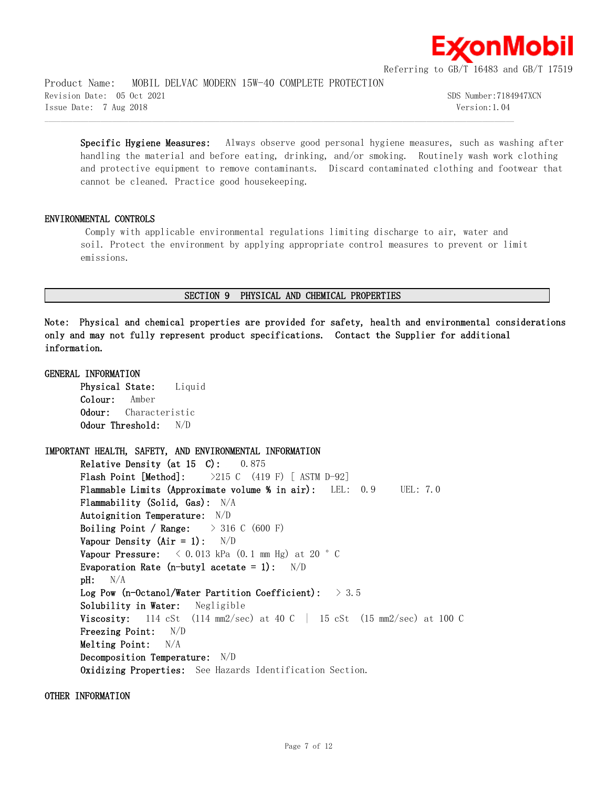

Product Name: MOBIL DELVAC MODERN 15W-40 COMPLETE PROTECTION Revision Date: 05 Oct 2021 SDS Number:7184947XCN Issue Date: 7 Aug 2018 Version:1.04

**Specific Hygiene Measures:** Always observe good personal hygiene measures, such as washing after handling the material and before eating, drinking, and/or smoking. Routinely wash work clothing and protective equipment to remove contaminants. Discard contaminated clothing and footwear that cannot be cleaned. Practice good housekeeping.

# **ENVIRONMENTAL CONTROLS**

Comply with applicable environmental regulations limiting discharge to air, water and soil. Protect the environment by applying appropriate control measures to prevent or limit emissions.

## **SECTION 9 PHYSICAL AND CHEMICAL PROPERTIES**

 $\mathcal{L} = \{ \mathcal{L} = \{ \mathcal{L} = \{ \mathcal{L} = \{ \mathcal{L} = \{ \mathcal{L} = \{ \mathcal{L} = \{ \mathcal{L} = \{ \mathcal{L} = \{ \mathcal{L} = \{ \mathcal{L} = \{ \mathcal{L} = \{ \mathcal{L} = \{ \mathcal{L} = \{ \mathcal{L} = \{ \mathcal{L} = \{ \mathcal{L} = \{ \mathcal{L} = \{ \mathcal{L} = \{ \mathcal{L} = \{ \mathcal{L} = \{ \mathcal{L} = \{ \mathcal{L} = \{ \mathcal{L} = \{ \mathcal{$ 

**Note: Physical and chemical properties are provided for safety, health and environmental considerations only and may not fully represent product specifications. Contact the Supplier for additional information.**

# **GENERAL INFORMATION Physical State:** Liquid **Colour:** Amber **Odour:** Characteristic **Odour Threshold:** N/D **IMPORTANT HEALTH, SAFETY, AND ENVIRONMENTAL INFORMATION Relative Density (at 15 C):** 0.875 **Flash Point [Method]:** >215 C (419 F) [ ASTM D-92] **Flammable Limits (Approximate volume % in air):** LEL: 0.9 UEL: 7.0 **Flammability (Solid, Gas):** N/A **Autoignition Temperature:** N/D **Boiling Point / Range:** > 316 C (600 F) **Vapour Density (Air = 1):** N/D **Vapour Pressure:**  $\langle 0.013 \text{ kPa} (0.1 \text{ mm Hg}) \text{ at } 20 \text{ }^{\circ} \text{ C}$ **Evaporation Rate (n-butyl acetate = 1):** N/D **pH:** N/A **Log Pow (n-Octanol/Water Partition Coefficient):** > 3.5 **Solubility in Water:** Negligible **Viscosity:** 114 cSt (114 mm2/sec) at 40 C | 15 cSt (15 mm2/sec) at 100 C **Freezing Point:** N/D **Melting Point:** N/A **Decomposition Temperature:** N/D **Oxidizing Properties:** See Hazards Identification Section.

**OTHER INFORMATION**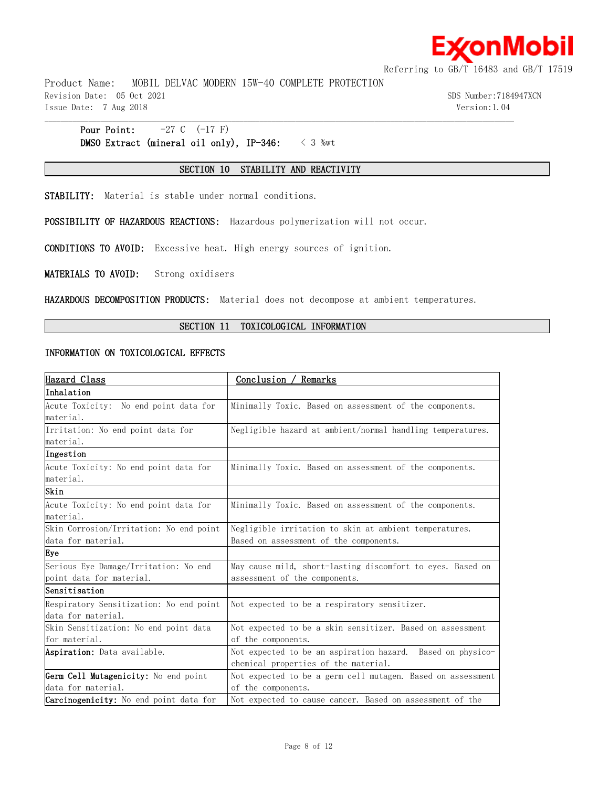

Product Name: MOBIL DELVAC MODERN 15W-40 COMPLETE PROTECTION Revision Date: 05 Oct 2021 SDS Number:7184947XCN Issue Date: 7 Aug 2018 Version:1.04

# **Pour Point:**  $-27 \text{ C} \quad (-17 \text{ F})$ **DMSO Extract (mineral oil only), IP-346:** < 3 %wt

# **SECTION 10 STABILITY AND REACTIVITY**

 $\mathcal{L} = \{ \mathcal{L} = \{ \mathcal{L} = \{ \mathcal{L} = \{ \mathcal{L} = \{ \mathcal{L} = \{ \mathcal{L} = \{ \mathcal{L} = \{ \mathcal{L} = \{ \mathcal{L} = \{ \mathcal{L} = \{ \mathcal{L} = \{ \mathcal{L} = \{ \mathcal{L} = \{ \mathcal{L} = \{ \mathcal{L} = \{ \mathcal{L} = \{ \mathcal{L} = \{ \mathcal{L} = \{ \mathcal{L} = \{ \mathcal{L} = \{ \mathcal{L} = \{ \mathcal{L} = \{ \mathcal{L} = \{ \mathcal{$ 

**STABILITY:** Material is stable under normal conditions.

**POSSIBILITY OF HAZARDOUS REACTIONS:** Hazardous polymerization will not occur.

**CONDITIONS TO AVOID:** Excessive heat. High energy sources of ignition.

**MATERIALS TO AVOID:** Strong oxidisers

**HAZARDOUS DECOMPOSITION PRODUCTS:** Material does not decompose at ambient temperatures.

# **SECTION 11 TOXICOLOGICAL INFORMATION**

## **INFORMATION ON TOXICOLOGICAL EFFECTS**

| Hazard Class                                  | Conclusion /<br><sup>'</sup> Remarks                        |
|-----------------------------------------------|-------------------------------------------------------------|
| Inhalation                                    |                                                             |
| Acute Toxicity: No end point data for         | Minimally Toxic. Based on assessment of the components.     |
| material.                                     |                                                             |
| Irritation: No end point data for             | Negligible hazard at ambient/normal handling temperatures.  |
| material.                                     |                                                             |
| Ingestion                                     |                                                             |
| Acute Toxicity: No end point data for         | Minimally Toxic. Based on assessment of the components.     |
| material.                                     |                                                             |
| Skin                                          |                                                             |
| Acute Toxicity: No end point data for         | Minimally Toxic. Based on assessment of the components.     |
| material.                                     |                                                             |
| Skin Corrosion/Irritation: No end point       | Negligible irritation to skin at ambient temperatures.      |
| data for material.                            | Based on assessment of the components.                      |
| Eye                                           |                                                             |
| Serious Eye Damage/Irritation: No end         | May cause mild, short-lasting discomfort to eyes. Based on  |
| point data for material.                      | assessment of the components.                               |
| lSensitisation                                |                                                             |
| Respiratory Sensitization: No end point       | Not expected to be a respiratory sensitizer.                |
| data for material.                            |                                                             |
| Skin Sensitization: No end point data         | Not expected to be a skin sensitizer. Based on assessment   |
| for material.                                 | of the components.                                          |
| Aspiration: Data available.                   | Not expected to be an aspiration hazard. Based on physico-  |
|                                               | chemical properties of the material.                        |
| Germ Cell Mutagenicity: No end point          | Not expected to be a germ cell mutagen. Based on assessment |
| data for material.                            | of the components.                                          |
| <b>Carcinogenicity:</b> No end point data for | Not expected to cause cancer. Based on assessment of the    |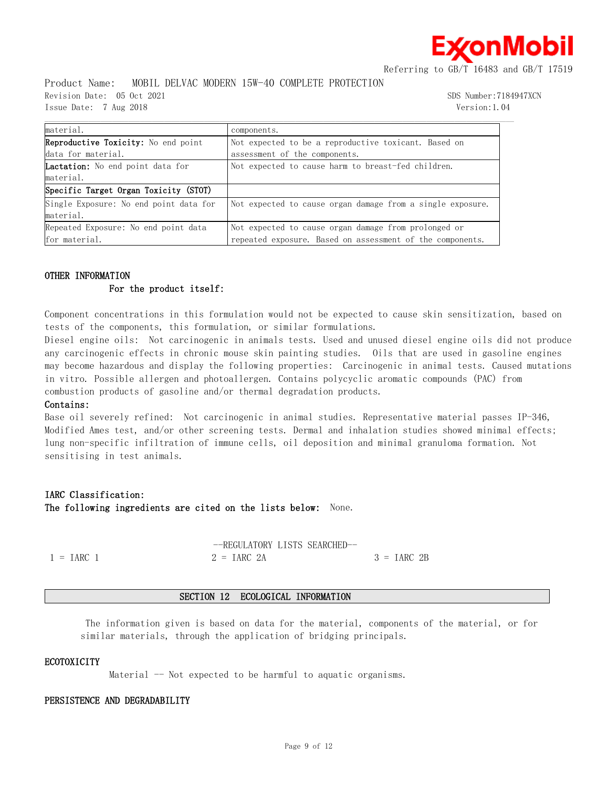≰onMobil

Referring to GB/T 16483 and GB/T 17519

Product Name: MOBIL DELVAC MODERN 15W-40 COMPLETE PROTECTION

Issue Date: 7 Aug 2018 Version:1.04

Revision Date: 05 Oct 2021 SDS Number:7184947XCN

| material.                                  | components.                                                |
|--------------------------------------------|------------------------------------------------------------|
| <b>Reproductive Toxicity:</b> No end point | Not expected to be a reproductive toxicant. Based on       |
| data for material.                         | assessment of the components.                              |
| <b>Lactation:</b> No end point data for    | Not expected to cause harm to breast-fed children.         |
| material.                                  |                                                            |
| Specific Target Organ Toxicity (STOT)      |                                                            |
| Single Exposure: No end point data for     | Not expected to cause organ damage from a single exposure. |
| material.                                  |                                                            |
| Repeated Exposure: No end point data       | Not expected to cause organ damage from prolonged or       |
| for material.                              | repeated exposure. Based on assessment of the components.  |

 $\mathcal{L} = \{ \mathcal{L} = \{ \mathcal{L} = \{ \mathcal{L} = \{ \mathcal{L} = \{ \mathcal{L} = \{ \mathcal{L} = \{ \mathcal{L} = \{ \mathcal{L} = \{ \mathcal{L} = \{ \mathcal{L} = \{ \mathcal{L} = \{ \mathcal{L} = \{ \mathcal{L} = \{ \mathcal{L} = \{ \mathcal{L} = \{ \mathcal{L} = \{ \mathcal{L} = \{ \mathcal{L} = \{ \mathcal{L} = \{ \mathcal{L} = \{ \mathcal{L} = \{ \mathcal{L} = \{ \mathcal{L} = \{ \mathcal{$ 

# **OTHER INFORMATION**

# **For the product itself:**

Component concentrations in this formulation would not be expected to cause skin sensitization, based on tests of the components, this formulation, or similar formulations.

Diesel engine oils: Not carcinogenic in animals tests. Used and unused diesel engine oils did not produce any carcinogenic effects in chronic mouse skin painting studies. Oils that are used in gasoline engines may become hazardous and display the following properties: Carcinogenic in animal tests. Caused mutations in vitro. Possible allergen and photoallergen. Contains polycyclic aromatic compounds (PAC) from combustion products of gasoline and/or thermal degradation products.

# **Contains:**

Base oil severely refined: Not carcinogenic in animal studies. Representative material passes IP-346, Modified Ames test, and/or other screening tests. Dermal and inhalation studies showed minimal effects; lung non-specific infiltration of immune cells, oil deposition and minimal granuloma formation. Not sensitising in test animals.

# **IARC Classification: The following ingredients are cited on the lists below:** None.

|              | --REGULATORY LISTS SEARCHED- |              |
|--------------|------------------------------|--------------|
| $1 = IARC$ 1 | $2 = IARC 2A$                | $3 = IARC2B$ |

# **SECTION 12 ECOLOGICAL INFORMATION**

The information given is based on data for the material, components of the material, or for similar materials, through the application of bridging principals.

# **ECOTOXICITY**

Material  $-$  Not expected to be harmful to aquatic organisms.

# **PERSISTENCE AND DEGRADABILITY**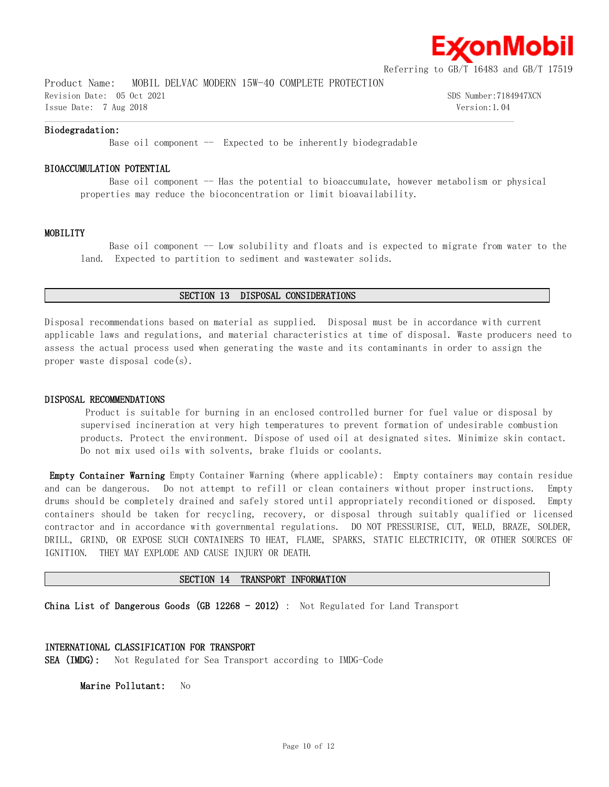

Product Name: MOBIL DELVAC MODERN 15W-40 COMPLETE PROTECTION Revision Date: 05 Oct 2021 SDS Number:7184947XCN

Issue Date: 7 Aug 2018 Version:1.04  $\mathcal{L} = \{ \mathcal{L} = \{ \mathcal{L} = \{ \mathcal{L} = \{ \mathcal{L} = \{ \mathcal{L} = \{ \mathcal{L} = \{ \mathcal{L} = \{ \mathcal{L} = \{ \mathcal{L} = \{ \mathcal{L} = \{ \mathcal{L} = \{ \mathcal{L} = \{ \mathcal{L} = \{ \mathcal{L} = \{ \mathcal{L} = \{ \mathcal{L} = \{ \mathcal{L} = \{ \mathcal{L} = \{ \mathcal{L} = \{ \mathcal{L} = \{ \mathcal{L} = \{ \mathcal{L} = \{ \mathcal{L} = \{ \mathcal{$ 

# **Biodegradation:**

Base oil component  $-$  Expected to be inherently biodegradable

# **BIOACCUMULATION POTENTIAL**

Base oil component -- Has the potential to bioaccumulate, however metabolism or physical properties may reduce the bioconcentration or limit bioavailability.

### **MOBILITY**

Base oil component -- Low solubility and floats and is expected to migrate from water to the land. Expected to partition to sediment and wastewater solids.

# **SECTION 13 DISPOSAL CONSIDERATIONS**

Disposal recommendations based on material as supplied. Disposal must be in accordance with current applicable laws and regulations, and material characteristics at time of disposal. Waste producers need to assess the actual process used when generating the waste and its contaminants in order to assign the proper waste disposal code(s).

# **DISPOSAL RECOMMENDATIONS**

Product is suitable for burning in an enclosed controlled burner for fuel value or disposal by supervised incineration at very high temperatures to prevent formation of undesirable combustion products. Protect the environment. Dispose of used oil at designated sites. Minimize skin contact. Do not mix used oils with solvents, brake fluids or coolants.

**Empty Container Warning** Empty Container Warning (where applicable): Empty containers may contain residue and can be dangerous. Do not attempt to refill or clean containers without proper instructions. Empty drums should be completely drained and safely stored until appropriately reconditioned or disposed. Empty containers should be taken for recycling, recovery, or disposal through suitably qualified or licensed contractor and in accordance with governmental regulations. DO NOT PRESSURISE, CUT, WELD, BRAZE, SOLDER, DRILL, GRIND, OR EXPOSE SUCH CONTAINERS TO HEAT, FLAME, SPARKS, STATIC ELECTRICITY, OR OTHER SOURCES OF IGNITION. THEY MAY EXPLODE AND CAUSE INJURY OR DEATH.

# **SECTION 14 TRANSPORT INFORMATION**

**China List of Dangerous Goods (GB 12268 - 2012)** : Not Regulated for Land Transport

# **INTERNATIONAL CLASSIFICATION FOR TRANSPORT**

**SEA (IMDG):** Not Regulated for Sea Transport according to IMDG-Code

**Marine Pollutant:** No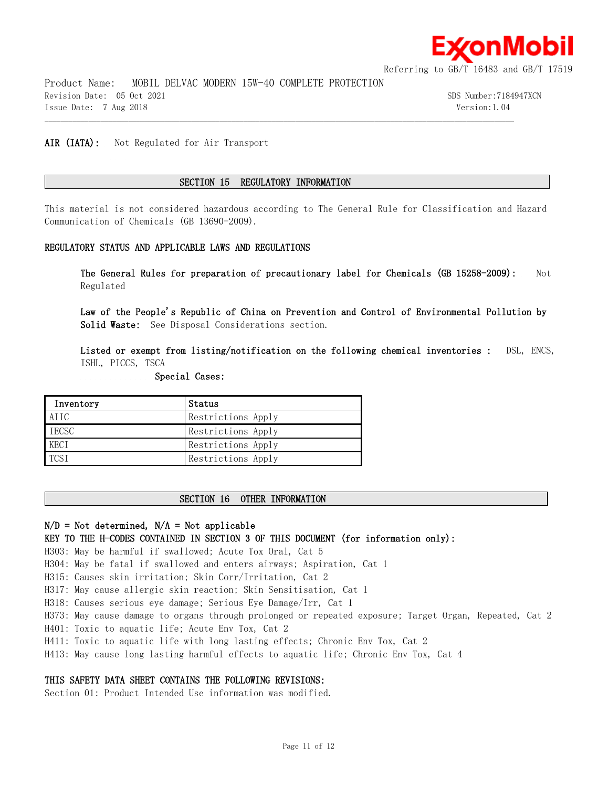

Product Name: MOBIL DELVAC MODERN 15W-40 COMPLETE PROTECTION Revision Date: 05 Oct 2021 SDS Number:7184947XCN Issue Date: 7 Aug 2018 Version:1.04

# **AIR (IATA):** Not Regulated for Air Transport

# **SECTION 15 REGULATORY INFORMATION**

 $\mathcal{L} = \{ \mathcal{L} = \{ \mathcal{L} = \{ \mathcal{L} = \{ \mathcal{L} = \{ \mathcal{L} = \{ \mathcal{L} = \{ \mathcal{L} = \{ \mathcal{L} = \{ \mathcal{L} = \{ \mathcal{L} = \{ \mathcal{L} = \{ \mathcal{L} = \{ \mathcal{L} = \{ \mathcal{L} = \{ \mathcal{L} = \{ \mathcal{L} = \{ \mathcal{L} = \{ \mathcal{L} = \{ \mathcal{L} = \{ \mathcal{L} = \{ \mathcal{L} = \{ \mathcal{L} = \{ \mathcal{L} = \{ \mathcal{$ 

This material is not considered hazardous according to The General Rule for Classification and Hazard Communication of Chemicals (GB 13690-2009).

# **REGULATORY STATUS AND APPLICABLE LAWS AND REGULATIONS**

**The General Rules for preparation of precautionary label for Chemicals (GB 15258-2009):** Not Regulated

**Law of the People's Republic of China on Prevention and Control of Environmental Pollution by Solid Waste:** See Disposal Considerations section.

**Listed or exempt from listing/notification on the following chemical inventories :** DSL, ENCS, ISHL, PICCS, TSCA

# **Special Cases:**

| Inventory        | Status             |
|------------------|--------------------|
| AIIC             | Restrictions Apply |
| <b>IECSC</b>     | Restrictions Apply |
| KECI             | Restrictions Apply |
| TCS <sub>1</sub> | Restrictions Apply |

# **SECTION 16 OTHER INFORMATION**

# **N/D = Not determined, N/A = Not applicable**

# **KEY TO THE H-CODES CONTAINED IN SECTION 3 OF THIS DOCUMENT (for information only):**

H303: May be harmful if swallowed; Acute Tox Oral, Cat 5

H304: May be fatal if swallowed and enters airways; Aspiration, Cat 1

H315: Causes skin irritation; Skin Corr/Irritation, Cat 2

H317: May cause allergic skin reaction; Skin Sensitisation, Cat 1

H318: Causes serious eye damage; Serious Eye Damage/Irr, Cat 1

H373: May cause damage to organs through prolonged or repeated exposure; Target Organ, Repeated, Cat 2

H401: Toxic to aquatic life; Acute Env Tox, Cat 2

H411: Toxic to aquatic life with long lasting effects; Chronic Env Tox, Cat 2

H413: May cause long lasting harmful effects to aquatic life; Chronic Env Tox, Cat 4

# **THIS SAFETY DATA SHEET CONTAINS THE FOLLOWING REVISIONS:**

Section 01: Product Intended Use information was modified.